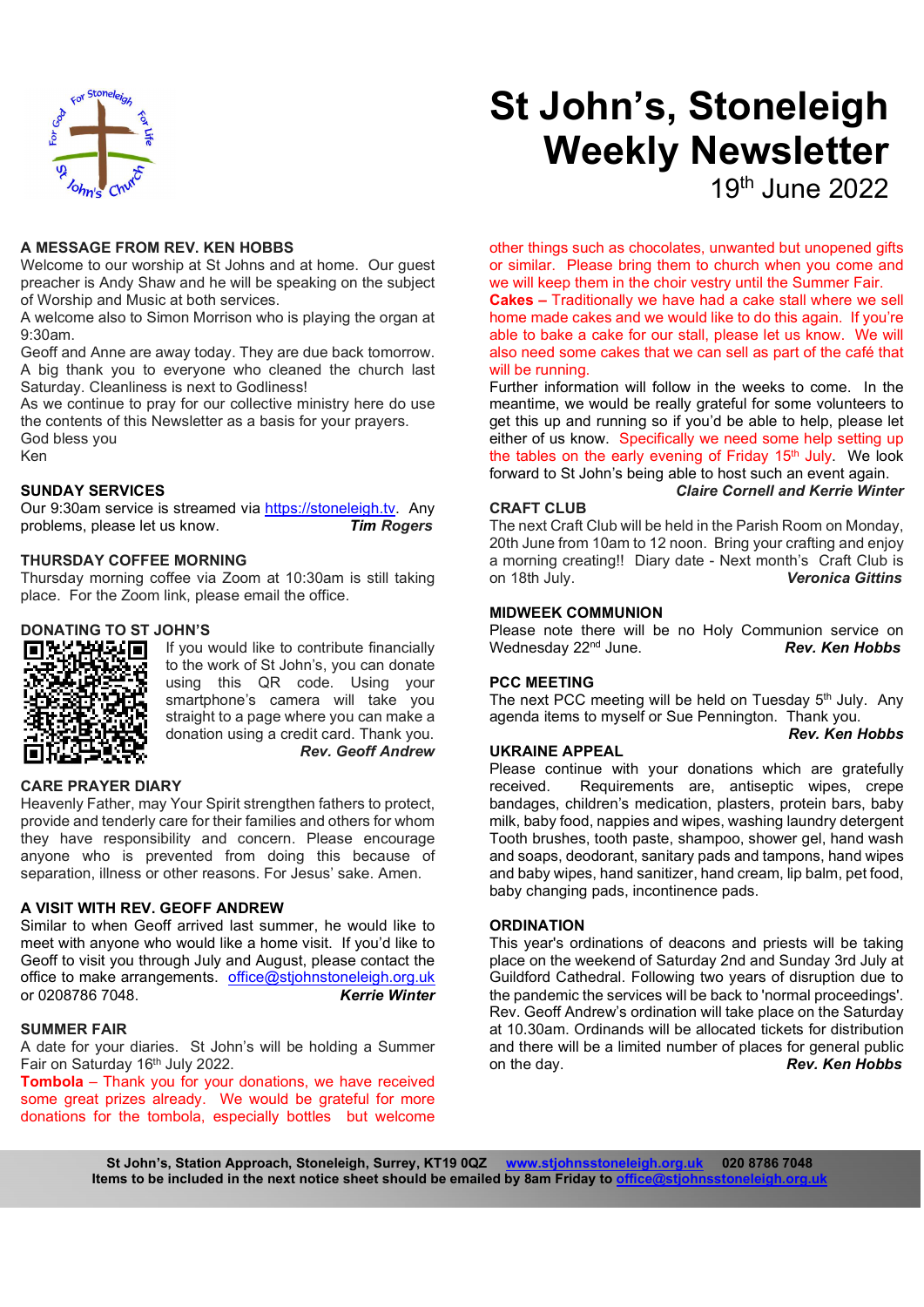

# A MESSAGE FROM REV. KEN HOBBS

Welcome to our worship at St Johns and at home. Our quest preacher is Andy Shaw and he will be speaking on the subject of Worship and Music at both services.

A welcome also to Simon Morrison who is playing the organ at 9:30am.

Geoff and Anne are away today. They are due back tomorrow. A big thank you to everyone who cleaned the church last Saturday. Cleanliness is next to Godliness!

As we continue to pray for our collective ministry here do use the contents of this Newsletter as a basis for your prayers. God bless you Ken

# SUNDAY SERVICES

Our 9:30am service is streamed via https://stoneleigh.tv. Any problems, please let us know. Tim Rogers

## THURSDAY COFFEE MORNING

Thursday morning coffee via Zoom at 10:30am is still taking place. For the Zoom link, please email the office.

## DONATING TO ST JOHN'S



If you would like to contribute financially to the work of St John's, you can donate using this QR code. Using your smartphone's camera will take you straight to a page where you can make a donation using a credit card. Thank you. Rev. Geoff Andrew

#### CARE PRAYER DIARY

Heavenly Father, may Your Spirit strengthen fathers to protect, provide and tenderly care for their families and others for whom they have responsibility and concern. Please encourage anyone who is prevented from doing this because of separation, illness or other reasons. For Jesus' sake. Amen.

# A VISIT WITH REV. GEOFF ANDREW

Similar to when Geoff arrived last summer, he would like to meet with anyone who would like a home visit. If you'd like to Geoff to visit you through July and August, please contact the office to make arrangements. office@stjohnstoneleigh.org.uk or 0208786 7048. Kerrie Winter

# SUMMER FAIR

A date for your diaries. St John's will be holding a Summer Fair on Saturday 16th July 2022.

Tombola – Thank you for your donations, we have received some great prizes already. We would be grateful for more donations for the tombola, especially bottles but welcome

# St John's, Stoneleigh Weekly Newsletter

19th June 2022

other things such as chocolates, unwanted but unopened gifts or similar. Please bring them to church when you come and we will keep them in the choir vestry until the Summer Fair.

Cakes – Traditionally we have had a cake stall where we sell home made cakes and we would like to do this again. If you're able to bake a cake for our stall, please let us know. We will also need some cakes that we can sell as part of the café that will be running.

Further information will follow in the weeks to come. In the meantime, we would be really grateful for some volunteers to get this up and running so if you'd be able to help, please let either of us know. Specifically we need some help setting up the tables on the early evening of Friday  $15<sup>th</sup>$  July. We look forward to St John's being able to host such an event again. Claire Cornell and Kerrie Winter

#### CRAFT CLUB

The next Craft Club will be held in the Parish Room on Monday, 20th June from 10am to 12 noon. Bring your crafting and enjoy a morning creating!! Diary date - Next month's Craft Club is **Veronica Gittins** 

#### MIDWEEK COMMUNION

Please note there will be no Holy Communion service on Wednesday  $22<sup>nd</sup>$  June. Rev. Ken Hobbs

#### PCC MEETING

The next PCC meeting will be held on Tuesday 5<sup>th</sup> July. Any agenda items to myself or Sue Pennington. Thank you. Rev. Ken Hobbs

#### UKRAINE APPEAL

Please continue with your donations which are gratefully received. Requirements are, antiseptic wipes, crepe bandages, children's medication, plasters, protein bars, baby milk, baby food, nappies and wipes, washing laundry detergent Tooth brushes, tooth paste, shampoo, shower gel, hand wash and soaps, deodorant, sanitary pads and tampons, hand wipes and baby wipes, hand sanitizer, hand cream, lip balm, pet food, baby changing pads, incontinence pads.

## **ORDINATION**

This year's ordinations of deacons and priests will be taking place on the weekend of Saturday 2nd and Sunday 3rd July at Guildford Cathedral. Following two years of disruption due to the pandemic the services will be back to 'normal proceedings'. Rev. Geoff Andrew's ordination will take place on the Saturday at 10.30am. Ordinands will be allocated tickets for distribution and there will be a limited number of places for general public on the day. **Rev. Ken Hobbs** 

St John's, Station Approach, Stoneleigh, Surrey, KT19 0QZ www.stjohnsstoneleigh.org.uk 020 8786 7048 Items to be included in the next notice sheet should be emailed by 8am Friday to office@stjohns